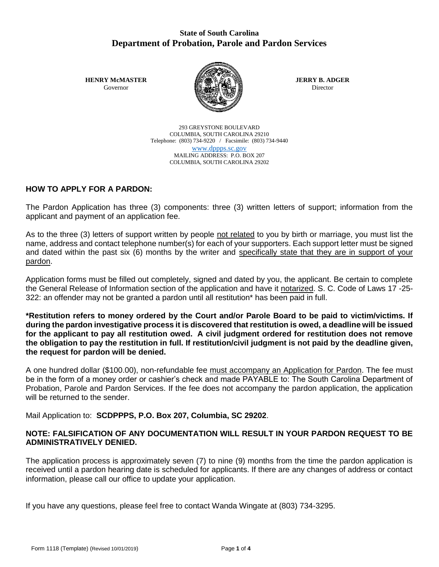# **State of South Carolina Department of Probation, Parole and Pardon Services**

**HENRY McMASTER** Governor



**JERRY B. ADGER** Director

293 GREYSTONE BOULEVARD COLUMBIA, SOUTH CAROLINA 29210 Telephone: (803) 734-9220 / Facsimile: (803) 734-9440 [www.dppps.sc.gov](http://www.dppps.sc.gov/) MAILING ADDRESS: P.O. BOX 207 COLUMBIA, SOUTH CAROLINA 29202

# **HOW TO APPLY FOR A PARDON:**

The Pardon Application has three (3) components: three (3) written letters of support; information from the applicant and payment of an application fee.

As to the three (3) letters of support written by people not related to you by birth or marriage, you must list the name, address and contact telephone number(s) for each of your supporters. Each support letter must be signed and dated within the past six (6) months by the writer and specifically state that they are in support of your pardon.

Application forms must be filled out completely, signed and dated by you, the applicant. Be certain to complete the General Release of Information section of the application and have it notarized. S. C. Code of Laws 17 -25- 322: an offender may not be granted a pardon until all restitution\* has been paid in full.

**\*Restitution refers to money ordered by the Court and/or Parole Board to be paid to victim/victims. If during the pardon investigative process it is discovered that restitution is owed, a deadline will be issued for the applicant to pay all restitution owed. A civil judgment ordered for restitution does not remove the obligation to pay the restitution in full. If restitution/civil judgment is not paid by the deadline given, the request for pardon will be denied.**

A one hundred dollar (\$100.00), non-refundable fee must accompany an Application for Pardon. The fee must be in the form of a money order or cashier's check and made PAYABLE to: The South Carolina Department of Probation, Parole and Pardon Services. If the fee does not accompany the pardon application, the application will be returned to the sender.

Mail Application to: **SCDPPPS, P.O. Box 207, Columbia, SC 29202**.

# **NOTE: FALSIFICATION OF ANY DOCUMENTATION WILL RESULT IN YOUR PARDON REQUEST TO BE ADMINISTRATIVELY DENIED.**

The application process is approximately seven (7) to nine (9) months from the time the pardon application is received until a pardon hearing date is scheduled for applicants. If there are any changes of address or contact information, please call our office to update your application.

If you have any questions, please feel free to contact Wanda Wingate at (803) 734-3295.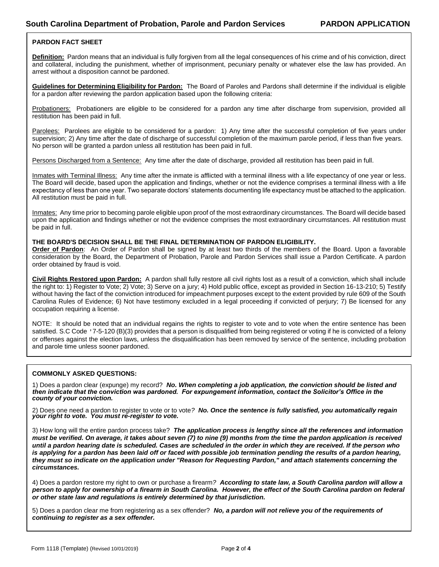## **PARDON FACT SHEET**

**Definition:** Pardon means that an individual is fully forgiven from all the legal consequences of his crime and of his conviction, direct and collateral, including the punishment, whether of imprisonment, pecuniary penalty or whatever else the law has provided. An arrest without a disposition cannot be pardoned.

**Guidelines for Determining Eligibility for Pardon:** The Board of Paroles and Pardons shall determine if the individual is eligible for a pardon after reviewing the pardon application based upon the following criteria:

Probationers: Probationers are eligible to be considered for a pardon any time after discharge from supervision, provided all restitution has been paid in full.

Parolees: Parolees are eligible to be considered for a pardon: 1) Any time after the successful completion of five years under supervision; 2) Any time after the date of discharge of successful completion of the maximum parole period, if less than five years. No person will be granted a pardon unless all restitution has been paid in full.

Persons Discharged from a Sentence: Any time after the date of discharge, provided all restitution has been paid in full.

Inmates with Terminal Illness: Any time after the inmate is afflicted with a terminal illness with a life expectancy of one year or less. The Board will decide, based upon the application and findings, whether or not the evidence comprises a terminal illness with a life expectancy of less than one year. Two separate doctors' statements documenting life expectancy must be attached to the application. All restitution must be paid in full.

Inmates: Any time prior to becoming parole eligible upon proof of the most extraordinary circumstances. The Board will decide based upon the application and findings whether or not the evidence comprises the most extraordinary circumstances. All restitution must be paid in full.

## **THE BOARD'S DECISION SHALL BE THE FINAL DETERMINATION OF PARDON ELIGIBILITY.**

**Order of Pardon**: An Order of Pardon shall be signed by at least two thirds of the members of the Board. Upon a favorable consideration by the Board, the Department of Probation, Parole and Pardon Services shall issue a Pardon Certificate. A pardon order obtained by fraud is void.

**Civil Rights Restored upon Pardon:** A pardon shall fully restore all civil rights lost as a result of a conviction, which shall include the right to: 1) Register to Vote; 2) Vote; 3) Serve on a jury; 4) Hold public office, except as provided in Section 16-13-210; 5) Testify without having the fact of the conviction introduced for impeachment purposes except to the extent provided by rule 609 of the South Carolina Rules of Evidence; 6) Not have testimony excluded in a legal proceeding if convicted of perjury; 7) Be licensed for any occupation requiring a license.

NOTE: It should be noted that an individual regains the rights to register to vote and to vote when the entire sentence has been satisfied. S.C Code '7-5-120 (B)(3) provides that a person is disqualified from being registered or voting if he is convicted of a felony or offenses against the election laws, unless the disqualification has been removed by service of the sentence, including probation and parole time unless sooner pardoned.

## **COMMONLY ASKED QUESTIONS:**

1) Does a pardon clear (expunge) my record?*No. When completing a job application, the conviction should be listed and then indicate that the conviction was pardoned. For expungement information, contact the Solicitor's Office in the county of your conviction.*

2) Does one need a pardon to register to vote or to vote*? No. Once the sentence is fully satisfied, you automatically regain your right to vote. You must re-register to vote.*

3) How long will the entire pardon process take? *The application process is lengthy since all the references and information must be verified. On average, it takes about seven (7) to nine (9) months from the time the pardon application is received until a pardon hearing date is scheduled. Cases are scheduled in the order in which they are received. If the person who is applying for a pardon has been laid off or faced with possible job termination pending the results of a pardon hearing, they must so indicate on the application under "Reason for Requesting Pardon," and attach statements concerning the circumstances.*

4) Does a pardon restore my right to own or purchase a firearm*? According to state law, a South Carolina pardon will allow a person to apply for ownership of a firearm in South Carolina. However, the effect of the South Carolina pardon on federal or other state law and regulations is entirely determined by that jurisdiction.*

5) Does a pardon clear me from registering as a sex offender? *No, a pardon will not relieve you of the requirements of continuing to register as a sex offender.*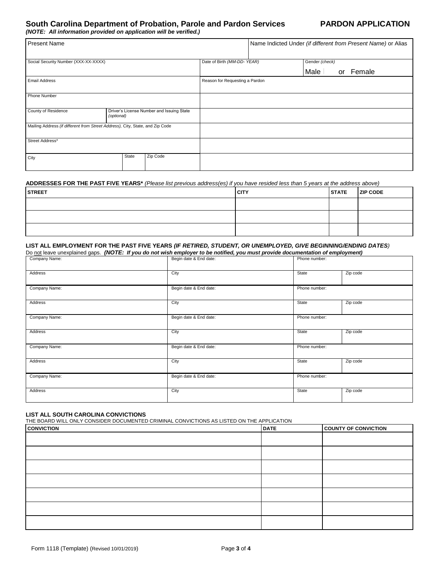# **South Carolina Department of Probation, Parole and Pardon Services PARDON APPLICATION**

*(NOTE: All information provided on application will be verified.)* 

| <b>Present Name</b>                                                           |                                                         |       |          |                                | Name Indicted Under (if different from Present Name) or Alias |                |           |
|-------------------------------------------------------------------------------|---------------------------------------------------------|-------|----------|--------------------------------|---------------------------------------------------------------|----------------|-----------|
| Social Security Number (XXX-XX-XXXX)                                          |                                                         |       |          | Date of Birth (MM-DD-YEAR)     |                                                               | Gender (check) |           |
|                                                                               |                                                         |       |          |                                |                                                               | Male           | or Female |
| <b>Email Address</b>                                                          |                                                         |       |          | Reason for Requesting a Pardon |                                                               |                |           |
| Phone Number                                                                  |                                                         |       |          |                                |                                                               |                |           |
| County of Residence                                                           | Driver's License Number and Issuing State<br>(optional) |       |          |                                |                                                               |                |           |
| Mailing Address (if different from Street Address), City, State, and Zip Code |                                                         |       |          |                                |                                                               |                |           |
| Street Address*                                                               |                                                         |       |          |                                |                                                               |                |           |
| City                                                                          |                                                         | State | Zip Code |                                |                                                               |                |           |

### **ADDRESSES FOR THE PAST FIVE YEARS\*** *(Please list previous address(es) if you have resided less than 5 years at the address above)*

| <b>STREET</b> | <b>CITY</b> | <b>STATE</b> | <b>ZIP CODE</b> |
|---------------|-------------|--------------|-----------------|
|               |             |              |                 |
|               |             |              |                 |
|               |             |              |                 |

#### **LIST ALL EMPLOYMENT FOR THE PAST FIVE YEARS** *(IF RETIRED, STUDENT, OR UNEMPLOYED, GIVE BEGINNING/ENDING DATES)*  Do not leave unexplained gaps. *(NOTE: If you do not wish employer to be notified, you must provide documentation of employment)*

| Company Name:  | Begin date & End date: | Phone number: |          |
|----------------|------------------------|---------------|----------|
| Address        | City                   | State         | Zip code |
| Company Name:  | Begin date & End date: | Phone number: |          |
| <b>Address</b> | City                   | State         | Zip code |
| Company Name:  | Begin date & End date: | Phone number: |          |
| Address        | City                   | State         | Zip code |
| Company Name:  | Begin date & End date: | Phone number: |          |
| Address        | City                   | State         | Zip code |
| Company Name:  | Begin date & End date: | Phone number: |          |
| <b>Address</b> | City                   | State         | Zip code |

## **LIST ALL SOUTH CAROLINA CONVICTIONS**

THE BOARD WILL ONLY CONSIDER DOCUMENTED CRIMINAL CONVICTIONS AS LISTED ON THE APPLICATION

| <b>CONVICTION</b> | <b>DATE</b> | <b>COUNTY OF CONVICTION</b> |
|-------------------|-------------|-----------------------------|
|                   |             |                             |
|                   |             |                             |
|                   |             |                             |
|                   |             |                             |
|                   |             |                             |
|                   |             |                             |
|                   |             |                             |